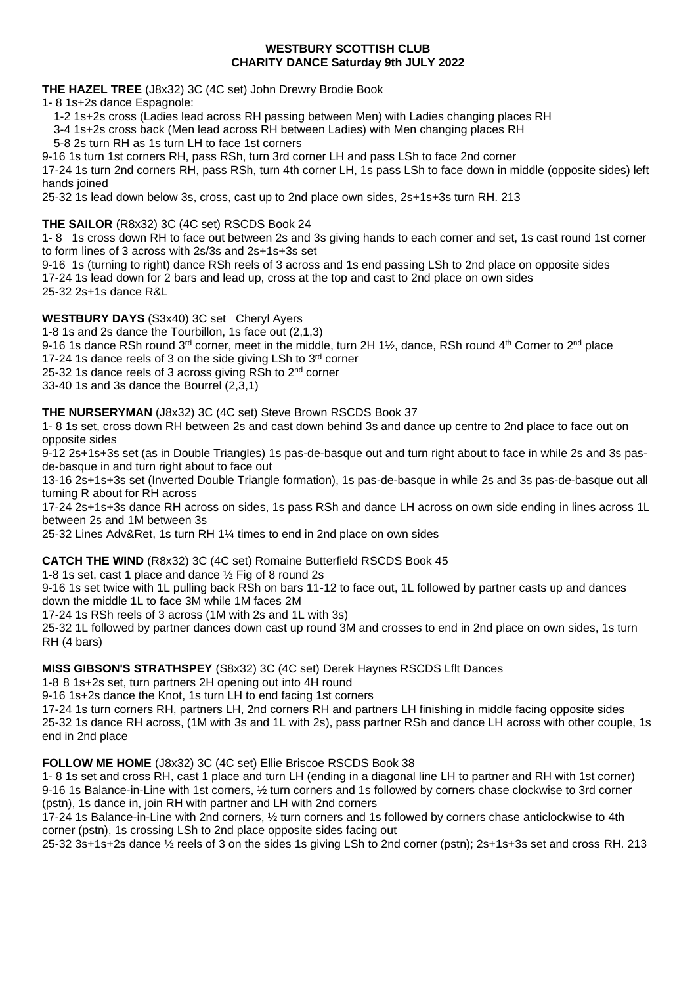#### **WESTBURY SCOTTISH CLUB CHARITY DANCE Saturday 9th JULY 2022**

**THE HAZEL TREE** (J8x32) 3C (4C set) John Drewry Brodie Book

1- 8 1s+2s dance Espagnole:

1-2 1s+2s cross (Ladies lead across RH passing between Men) with Ladies changing places RH

3-4 1s+2s cross back (Men lead across RH between Ladies) with Men changing places RH

5-8 2s turn RH as 1s turn LH to face 1st corners

9-16 1s turn 1st corners RH, pass RSh, turn 3rd corner LH and pass LSh to face 2nd corner

17-24 1s turn 2nd corners RH, pass RSh, turn 4th corner LH, 1s pass LSh to face down in middle (opposite sides) left hands joined

25-32 1s lead down below 3s, cross, cast up to 2nd place own sides, 2s+1s+3s turn RH. 213

**THE SAILOR** (R8x32) 3C (4C set) RSCDS Book 24

1- 8 1s cross down RH to face out between 2s and 3s giving hands to each corner and set, 1s cast round 1st corner to form lines of 3 across with 2s/3s and 2s+1s+3s set

9-16 1s (turning to right) dance RSh reels of 3 across and 1s end passing LSh to 2nd place on opposite sides 17-24 1s lead down for 2 bars and lead up, cross at the top and cast to 2nd place on own sides 25-32 2s+1s dance R&L

**WESTBURY DAYS** (S3x40) 3C set Cheryl Ayers

1-8 1s and 2s dance the Tourbillon, 1s face out (2,1,3)

9-16 1s dance RSh round 3<sup>rd</sup> corner, meet in the middle, turn 2H 1½, dance, RSh round 4<sup>th</sup> Corner to 2<sup>nd</sup> place

17-24 1s dance reels of 3 on the side giving LSh to 3rd corner

25-32 1s dance reels of 3 across giving RSh to 2<sup>nd</sup> corner

33-40 1s and 3s dance the Bourrel (2,3,1)

**THE NURSERYMAN** (J8x32) 3C (4C set) Steve Brown RSCDS Book 37

1- 8 1s set, cross down RH between 2s and cast down behind 3s and dance up centre to 2nd place to face out on opposite sides

9-12 2s+1s+3s set (as in Double Triangles) 1s pas-de-basque out and turn right about to face in while 2s and 3s pasde-basque in and turn right about to face out

13-16 2s+1s+3s set (Inverted Double Triangle formation), 1s pas-de-basque in while 2s and 3s pas-de-basque out all turning R about for RH across

17-24 2s+1s+3s dance RH across on sides, 1s pass RSh and dance LH across on own side ending in lines across 1L between 2s and 1M between 3s

25-32 Lines Adv&Ret, 1s turn RH 1¼ times to end in 2nd place on own sides

**CATCH THE WIND** (R8x32) 3C (4C set) Romaine Butterfield RSCDS Book 45

1-8 1s set, cast 1 place and dance ½ Fig of 8 round 2s

9-16 1s set twice with 1L pulling back RSh on bars 11-12 to face out, 1L followed by partner casts up and dances down the middle 1L to face 3M while 1M faces 2M

17-24 1s RSh reels of 3 across (1M with 2s and 1L with 3s)

25-32 1L followed by partner dances down cast up round 3M and crosses to end in 2nd place on own sides, 1s turn RH (4 bars)

**MISS GIBSON'S STRATHSPEY** (S8x32) 3C (4C set) Derek Haynes RSCDS Lflt Dances

1-8 8 1s+2s set, turn partners 2H opening out into 4H round

9-16 1s+2s dance the Knot, 1s turn LH to end facing 1st corners

17-24 1s turn corners RH, partners LH, 2nd corners RH and partners LH finishing in middle facing opposite sides 25-32 1s dance RH across, (1M with 3s and 1L with 2s), pass partner RSh and dance LH across with other couple, 1s end in 2nd place

**FOLLOW ME HOME** (J8x32) 3C (4C set) Ellie Briscoe RSCDS Book 38

1- 8 1s set and cross RH, cast 1 place and turn LH (ending in a diagonal line LH to partner and RH with 1st corner) 9-16 1s Balance-in-Line with 1st corners, ½ turn corners and 1s followed by corners chase clockwise to 3rd corner (pstn), 1s dance in, join RH with partner and LH with 2nd corners

17-24 1s Balance-in-Line with 2nd corners, ½ turn corners and 1s followed by corners chase anticlockwise to 4th corner (pstn), 1s crossing LSh to 2nd place opposite sides facing out

25-32 3s+1s+2s dance ½ reels of 3 on the sides 1s giving LSh to 2nd corner (pstn); 2s+1s+3s set and cross RH. 213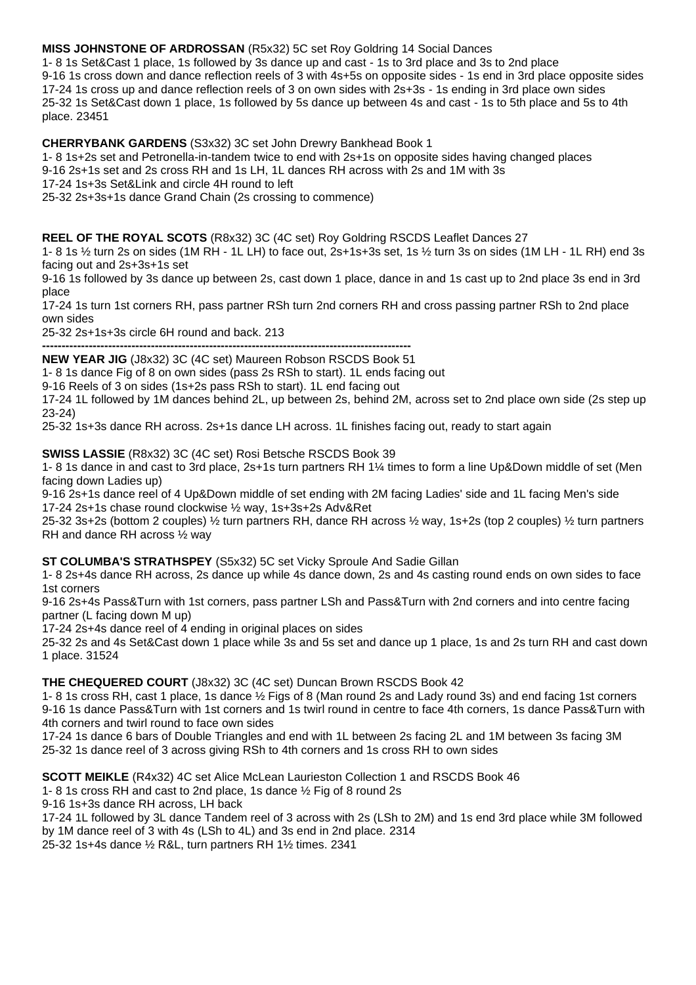# **MISS JOHNSTONE OF ARDROSSAN** (R5x32) 5C set Roy Goldring 14 Social Dances

1- 8 1s Set&Cast 1 place, 1s followed by 3s dance up and cast - 1s to 3rd place and 3s to 2nd place 9-16 1s cross down and dance reflection reels of 3 with 4s+5s on opposite sides - 1s end in 3rd place opposite sides 17-24 1s cross up and dance reflection reels of 3 on own sides with 2s+3s - 1s ending in 3rd place own sides 25-32 1s Set&Cast down 1 place, 1s followed by 5s dance up between 4s and cast - 1s to 5th place and 5s to 4th place. 23451

# **CHERRYBANK GARDENS** (S3x32) 3C set John Drewry Bankhead Book 1

1- 8 1s+2s set and Petronella-in-tandem twice to end with 2s+1s on opposite sides having changed places 9-16 2s+1s set and 2s cross RH and 1s LH, 1L dances RH across with 2s and 1M with 3s

17-24 1s+3s Set&Link and circle 4H round to left

25-32 2s+3s+1s dance Grand Chain (2s crossing to commence)

#### **REEL OF THE ROYAL SCOTS** (R8x32) 3C (4C set) Roy Goldring RSCDS Leaflet Dances 27

1- 8 1s ½ turn 2s on sides (1M RH - 1L LH) to face out, 2s+1s+3s set, 1s ½ turn 3s on sides (1M LH - 1L RH) end 3s facing out and 2s+3s+1s set

9-16 1s followed by 3s dance up between 2s, cast down 1 place, dance in and 1s cast up to 2nd place 3s end in 3rd place

17-24 1s turn 1st corners RH, pass partner RSh turn 2nd corners RH and cross passing partner RSh to 2nd place own sides

25-32 2s+1s+3s circle 6H round and back. 213

**----------------------------------------------------------------------------------------------- NEW YEAR JIG** (J8x32) 3C (4C set) Maureen Robson RSCDS Book 51

1- 8 1s dance Fig of 8 on own sides (pass 2s RSh to start). 1L ends facing out

9-16 Reels of 3 on sides (1s+2s pass RSh to start). 1L end facing out

17-24 1L followed by 1M dances behind 2L, up between 2s, behind 2M, across set to 2nd place own side (2s step up 23-24)

25-32 1s+3s dance RH across. 2s+1s dance LH across. 1L finishes facing out, ready to start again

**SWISS LASSIE** (R8x32) 3C (4C set) Rosi Betsche RSCDS Book 39

1- 8 1s dance in and cast to 3rd place, 2s+1s turn partners RH 1¼ times to form a line Up&Down middle of set (Men facing down Ladies up)

9-16 2s+1s dance reel of 4 Up&Down middle of set ending with 2M facing Ladies' side and 1L facing Men's side 17-24 2s+1s chase round clockwise ½ way, 1s+3s+2s Adv&Ret

25-32 3s+2s (bottom 2 couples) ½ turn partners RH, dance RH across ½ way, 1s+2s (top 2 couples) ½ turn partners RH and dance RH across ½ way

### **ST COLUMBA'S STRATHSPEY** (S5x32) 5C set Vicky Sproule And Sadie Gillan

1- 8 2s+4s dance RH across, 2s dance up while 4s dance down, 2s and 4s casting round ends on own sides to face 1st corners

9-16 2s+4s Pass&Turn with 1st corners, pass partner LSh and Pass&Turn with 2nd corners and into centre facing partner (L facing down M up)

17-24 2s+4s dance reel of 4 ending in original places on sides

25-32 2s and 4s Set&Cast down 1 place while 3s and 5s set and dance up 1 place, 1s and 2s turn RH and cast down 1 place. 31524

**THE CHEQUERED COURT** (J8x32) 3C (4C set) Duncan Brown RSCDS Book 42

1- 8 1s cross RH, cast 1 place, 1s dance ½ Figs of 8 (Man round 2s and Lady round 3s) and end facing 1st corners 9-16 1s dance Pass&Turn with 1st corners and 1s twirl round in centre to face 4th corners, 1s dance Pass&Turn with 4th corners and twirl round to face own sides

17-24 1s dance 6 bars of Double Triangles and end with 1L between 2s facing 2L and 1M between 3s facing 3M 25-32 1s dance reel of 3 across giving RSh to 4th corners and 1s cross RH to own sides

**SCOTT MEIKLE** (R4x32) 4C set Alice McLean Laurieston Collection 1 and RSCDS Book 46

1- 8 1s cross RH and cast to 2nd place, 1s dance ½ Fig of 8 round 2s

9-16 1s+3s dance RH across, LH back

17-24 1L followed by 3L dance Tandem reel of 3 across with 2s (LSh to 2M) and 1s end 3rd place while 3M followed by 1M dance reel of 3 with 4s (LSh to 4L) and 3s end in 2nd place. 2314

25-32 1s+4s dance ½ R&L, turn partners RH 1½ times. 2341